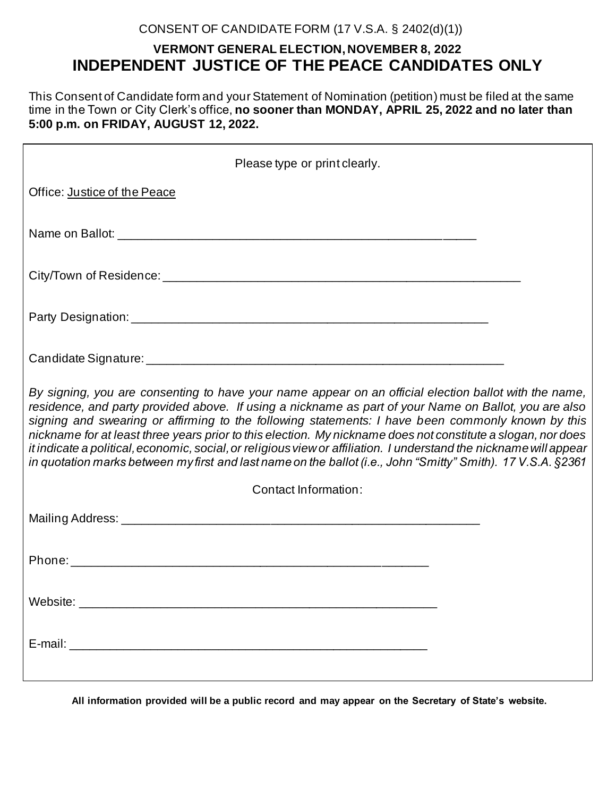# CONSENT OF CANDIDATE FORM (17 V.S.A. § 2402(d)(1))

# **VERMONT GENERAL ELECTION, NOVEMBER 8, 2022 INDEPENDENT JUSTICE OF THE PEACE CANDIDATES ONLY**

This Consent of Candidate form and your Statement of Nomination (petition) must be filed at the same time in the Town or City Clerk's office, **no sooner than MONDAY, APRIL 25, 2022 and no later than 5:00 p.m. on FRIDAY, AUGUST 12, 2022.** 

| Please type or print clearly.                                                                                                                                                                                                                                                                                                                                                                                                                                                                                                                                                                                                                                             |  |  |  |  |
|---------------------------------------------------------------------------------------------------------------------------------------------------------------------------------------------------------------------------------------------------------------------------------------------------------------------------------------------------------------------------------------------------------------------------------------------------------------------------------------------------------------------------------------------------------------------------------------------------------------------------------------------------------------------------|--|--|--|--|
| Office: Justice of the Peace                                                                                                                                                                                                                                                                                                                                                                                                                                                                                                                                                                                                                                              |  |  |  |  |
|                                                                                                                                                                                                                                                                                                                                                                                                                                                                                                                                                                                                                                                                           |  |  |  |  |
|                                                                                                                                                                                                                                                                                                                                                                                                                                                                                                                                                                                                                                                                           |  |  |  |  |
|                                                                                                                                                                                                                                                                                                                                                                                                                                                                                                                                                                                                                                                                           |  |  |  |  |
|                                                                                                                                                                                                                                                                                                                                                                                                                                                                                                                                                                                                                                                                           |  |  |  |  |
| By signing, you are consenting to have your name appear on an official election ballot with the name,<br>residence, and party provided above. If using a nickname as part of your Name on Ballot, you are also<br>signing and swearing or affirming to the following statements: I have been commonly known by this<br>nickname for at least three years prior to this election. My nickname does not constitute a slogan, nor does<br>it indicate a political, economic, social, or religious view or affiliation. I understand the nickname will appear<br>in quotation marks between my first and last name on the ballot (i.e., John "Smitty" Smith). 17 V.S.A. §2361 |  |  |  |  |
| Contact Information:                                                                                                                                                                                                                                                                                                                                                                                                                                                                                                                                                                                                                                                      |  |  |  |  |
|                                                                                                                                                                                                                                                                                                                                                                                                                                                                                                                                                                                                                                                                           |  |  |  |  |
|                                                                                                                                                                                                                                                                                                                                                                                                                                                                                                                                                                                                                                                                           |  |  |  |  |
|                                                                                                                                                                                                                                                                                                                                                                                                                                                                                                                                                                                                                                                                           |  |  |  |  |
|                                                                                                                                                                                                                                                                                                                                                                                                                                                                                                                                                                                                                                                                           |  |  |  |  |

**All information provided will be a public record and may appear on the Secretary of State's website.**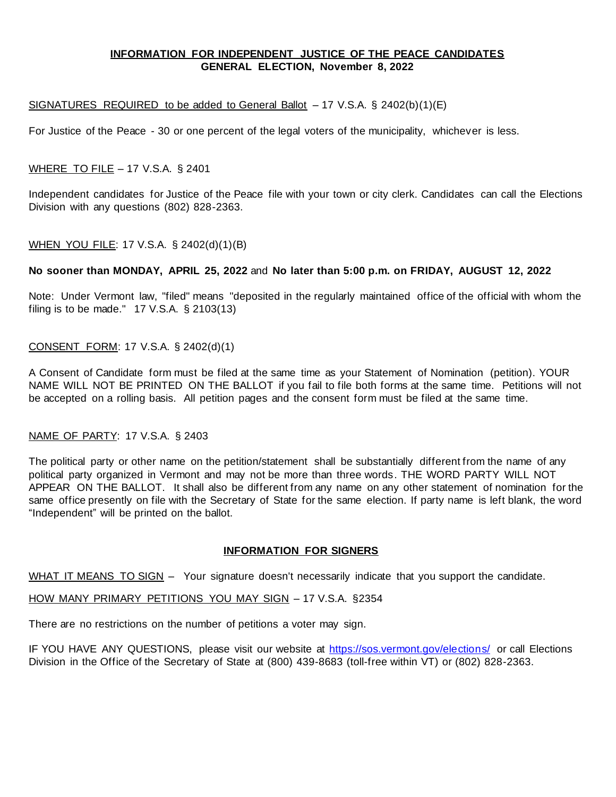# **INFORMATION FOR INDEPENDENT JUSTICE OF THE PEACE CANDIDATES GENERAL ELECTION, November 8, 2022**

#### SIGNATURES REQUIRED to be added to General Ballot – 17 V.S.A. § 2402(b)(1)(E)

For Justice of the Peace - 30 or one percent of the legal voters of the municipality, whichever is less.

# WHERE TO FILE – 17 V.S.A. § 2401

Independent candidates for Justice of the Peace file with your town or city clerk. Candidates can call the Elections Division with any questions (802) 828-2363.

# WHEN YOU FILE: 17 V.S.A. § 2402(d)(1)(B)

#### **No sooner than MONDAY, APRIL 25, 2022** and **No later than 5:00 p.m. on FRIDAY, AUGUST 12, 2022**

Note: Under Vermont law, "filed" means "deposited in the regularly maintained office of the official with whom the filing is to be made." 17 V.S.A. § 2103(13)

# CONSENT FORM: 17 V.S.A. § 2402(d)(1)

A Consent of Candidate form must be filed at the same time as your Statement of Nomination (petition). YOUR NAME WILL NOT BE PRINTED ON THE BALLOT if you fail to file both forms at the same time. Petitions will not be accepted on a rolling basis. All petition pages and the consent form must be filed at the same time.

# NAME OF PARTY: 17 V.S.A. § 2403

The political party or other name on the petition/statement shall be substantially different from the name of any political party organized in Vermont and may not be more than three words. THE WORD PARTY WILL NOT APPEAR ON THE BALLOT. It shall also be different from any name on any other statement of nomination for the same office presently on file with the Secretary of State for the same election. If party name is left blank, the word "Independent" will be printed on the ballot.

#### **INFORMATION FOR SIGNERS**

WHAT IT MEANS TO SIGN – Your signature doesn't necessarily indicate that you support the candidate.

HOW MANY PRIMARY PETITIONS YOU MAY SIGN – 17 V.S.A. §2354

There are no restrictions on the number of petitions a voter may sign.

IF YOU HAVE ANY QUESTIONS, please visit our website at<https://sos.vermont.gov/elections/> or call Elections Division in the Office of the Secretary of State at (800) 439-8683 (toll-free within VT) or (802) 828-2363.